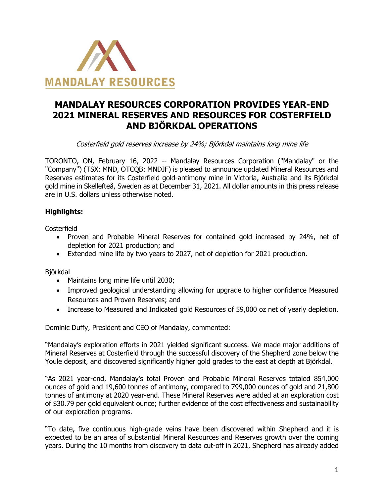

# **MANDALAY RESOURCES CORPORATION PROVIDES YEAR-END 2021 MINERAL RESERVES AND RESOURCES FOR COSTERFIELD AND BJÖRKDAL OPERATIONS**

Costerfield gold reserves increase by 24%; Björkdal maintains long mine life

TORONTO, ON, February 16, 2022 -- Mandalay Resources Corporation ("Mandalay" or the "Company") (TSX: MND, OTCQB: MNDJF) is pleased to announce updated Mineral Resources and Reserves estimates for its Costerfield gold-antimony mine in Victoria, Australia and its Björkdal gold mine in Skellefteå, Sweden as at December 31, 2021. All dollar amounts in this press release are in U.S. dollars unless otherwise noted.

# **Highlights:**

**Costerfield** 

- Proven and Probable Mineral Reserves for contained gold increased by 24%, net of depletion for 2021 production; and
- Extended mine life by two years to 2027, net of depletion for 2021 production.

Björkdal

- Maintains long mine life until 2030;
- Improved geological understanding allowing for upgrade to higher confidence Measured Resources and Proven Reserves; and
- Increase to Measured and Indicated gold Resources of 59,000 oz net of yearly depletion.

Dominic Duffy, President and CEO of Mandalay, commented:

"Mandalay's exploration efforts in 2021 yielded significant success. We made major additions of Mineral Reserves at Costerfield through the successful discovery of the Shepherd zone below the Youle deposit, and discovered significantly higher gold grades to the east at depth at Björkdal.

"As 2021 year-end, Mandalay's total Proven and Probable Mineral Reserves totaled 854,000 ounces of gold and 19,600 tonnes of antimony, compared to 799,000 ounces of gold and 21,800 tonnes of antimony at 2020 year-end. These Mineral Reserves were added at an exploration cost of \$30.79 per gold equivalent ounce; further evidence of the cost effectiveness and sustainability of our exploration programs.

"To date, five continuous high-grade veins have been discovered within Shepherd and it is expected to be an area of substantial Mineral Resources and Reserves growth over the coming years. During the 10 months from discovery to data cut-off in 2021, Shepherd has already added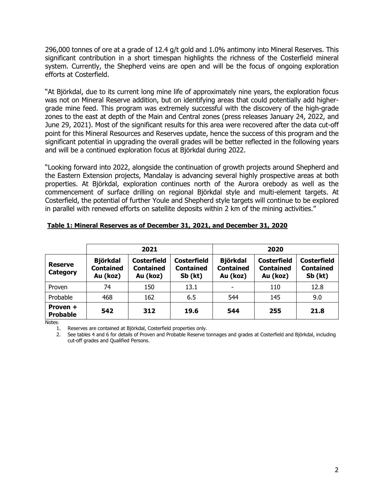296,000 tonnes of ore at a grade of 12.4 g/t gold and 1.0% antimony into Mineral Reserves. This significant contribution in a short timespan highlights the richness of the Costerfield mineral system. Currently, the Shepherd veins are open and will be the focus of ongoing exploration efforts at Costerfield.

"At Björkdal, due to its current long mine life of approximately nine years, the exploration focus was not on Mineral Reserve addition, but on identifying areas that could potentially add highergrade mine feed. This program was extremely successful with the discovery of the high-grade zones to the east at depth of the Main and Central zones (press releases January 24, 2022, and June 29, 2021). Most of the significant results for this area were recovered after the data cut-off point for this Mineral Resources and Reserves update, hence the success of this program and the significant potential in upgrading the overall grades will be better reflected in the following years and will be a continued exploration focus at Björkdal during 2022.

"Looking forward into 2022, alongside the continuation of growth projects around Shepherd and the Eastern Extension projects, Mandalay is advancing several highly prospective areas at both properties. At Björkdal, exploration continues north of the Aurora orebody as well as the commencement of surface drilling on regional Björkdal style and multi-element targets. At Costerfield, the potential of further Youle and Shepherd style targets will continue to be explored in parallel with renewed efforts on satellite deposits within 2 km of the mining activities."

|                                   |                                                 | 2021                                               |                                            | 2020 |                                                    |                                                     |  |
|-----------------------------------|-------------------------------------------------|----------------------------------------------------|--------------------------------------------|------|----------------------------------------------------|-----------------------------------------------------|--|
| <b>Reserve</b><br><b>Category</b> | <b>Björkdal</b><br><b>Contained</b><br>Au (koz) | <b>Costerfield</b><br><b>Contained</b><br>Au (koz) | Costerfield<br><b>Contained</b><br>Sb (kt) |      | <b>Costerfield</b><br><b>Contained</b><br>Au (koz) | <b>Costerfield</b><br><b>Contained</b><br>$Sb$ (kt) |  |
| Proven                            | 74                                              | 150                                                | 13.1                                       |      | 110                                                | 12.8                                                |  |
| Probable                          | 468                                             | 162                                                | 6.5                                        | 544  | 145                                                | 9.0                                                 |  |
| Proven +<br><b>Probable</b>       | 542                                             | 312                                                | 19.6                                       | 544  | 255                                                | 21.8                                                |  |

## **Table 1: Mineral Reserves as of December 31, 2021, and December 31, 2020**

Notes:

1. Reserves are contained at Björkdal, Costerfield properties only.

2. See tables 4 and 6 for details of Proven and Probable Reserve tonnages and grades at Costerfield and Björkdal, including cut-off grades and Qualified Persons.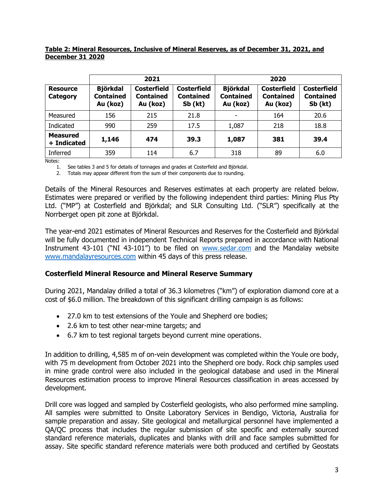## **Table 2: Mineral Resources, Inclusive of Mineral Reserves, as of December 31, 2021, and December 31 2020**

|                                |                                          | 2021                                               |                                                   | 2020                                            |                                                    |                                                   |
|--------------------------------|------------------------------------------|----------------------------------------------------|---------------------------------------------------|-------------------------------------------------|----------------------------------------------------|---------------------------------------------------|
| <b>Resource</b><br>Category    | <b>Björkdal</b><br>Contained<br>Au (koz) | <b>Costerfield</b><br><b>Contained</b><br>Au (koz) | <b>Costerfield</b><br><b>Contained</b><br>Sb (kt) | <b>Björkdal</b><br><b>Contained</b><br>Au (koz) | <b>Costerfield</b><br><b>Contained</b><br>Au (koz) | <b>Costerfield</b><br><b>Contained</b><br>Sb (kt) |
| Measured                       | 156                                      | 215                                                | 21.8                                              |                                                 | 164                                                | 20.6                                              |
| Indicated                      | 990                                      | 259                                                | 17.5                                              | 1,087                                           | 218                                                | 18.8                                              |
| <b>Measured</b><br>+ Indicated | 1,146                                    | 474                                                | 39.3                                              | 1,087                                           | 381                                                | 39.4                                              |
| Inferred                       | 359                                      | 114                                                | 6.7                                               | 318                                             | 89                                                 | 6.0                                               |

Notes:

1. See tables 3 and 5 for details of tonnages and grades at Costerfield and Björkdal.

2. Totals may appear different from the sum of their components due to rounding.

Details of the Mineral Resources and Reserves estimates at each property are related below. Estimates were prepared or verified by the following independent third parties: Mining Plus Pty Ltd. ("MP") at Costerfield and Björkdal; and SLR Consulting Ltd. ("SLR") specifically at the Norrberget open pit zone at Björkdal.

The year-end 2021 estimates of Mineral Resources and Reserves for the Costerfield and Björkdal will be fully documented in independent Technical Reports prepared in accordance with National Instrument 43-101 ("NI 43-101") to be filed on [www.sedar.com](http://www.sedar.com/) and the Mandalay website [www.mandalayresources.com](http://www.mandalayresources.com/) within 45 days of this press release.

## **Costerfield Mineral Resource and Mineral Reserve Summary**

During 2021, Mandalay drilled a total of 36.3 kilometres ("km") of exploration diamond core at a cost of \$6.0 million. The breakdown of this significant drilling campaign is as follows:

- 27.0 km to test extensions of the Youle and Shepherd ore bodies;
- 2.6 km to test other near-mine targets; and
- 6.7 km to test regional targets beyond current mine operations.

In addition to drilling, 4,585 m of on-vein development was completed within the Youle ore body, with 75 m development from October 2021 into the Shepherd ore body. Rock chip samples used in mine grade control were also included in the geological database and used in the Mineral Resources estimation process to improve Mineral Resources classification in areas accessed by development.

Drill core was logged and sampled by Costerfield geologists, who also performed mine sampling. All samples were submitted to Onsite Laboratory Services in Bendigo, Victoria, Australia for sample preparation and assay. Site geological and metallurgical personnel have implemented a QA/QC process that includes the regular submission of site specific and externally sourced standard reference materials, duplicates and blanks with drill and face samples submitted for assay. Site specific standard reference materials were both produced and certified by Geostats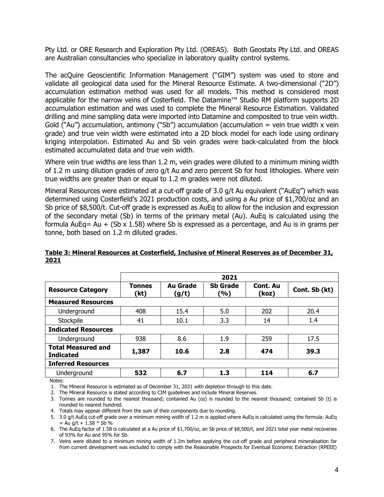Pty Ltd. or ORE Research and Exploration Pty Ltd. (OREAS). Both Geostats Pty Ltd. and OREAS are Australian consultancies who specialize in laboratory quality control systems.

The acQuire Geoscientific Information Management ("GIM") system was used to store and validate all geological data used for the Mineral Resource Estimate. A two-dimensional ("2D") accumulation estimation method was used for all models. This method is considered most applicable for the narrow veins of Costerfield. The Datamine™ Studio RM platform supports 2D accumulation estimation and was used to complete the Mineral Resource Estimation. Validated drilling and mine sampling data were imported into Datamine and composited to true vein width. Gold ("Au") accumulation, antimony ("Sb") accumulation (accumulation = vein true width x vein grade) and true vein width were estimated into a 2D block model for each lode using ordinary kriging interpolation. Estimated Au and Sb vein grades were back-calculated from the block estimated accumulated data and true vein width.

Where vein true widths are less than 1.2 m, vein grades were diluted to a minimum mining width of 1.2 m using dilution grades of zero g/t Au and zero percent Sb for host lithologies. Where vein true widths are greater than or equal to 1.2 m grades were not diluted.

Mineral Resources were estimated at a cut-off grade of 3.0 g/t Au equivalent ("AuEq") which was determined using Costerfield's 2021 production costs, and using a Au price of \$1,700/oz and an Sb price of \$8,500/t. Cut-off grade is expressed as AuEq to allow for the inclusion and expression of the secondary metal (Sb) in terms of the primary metal (Au). AuEq is calculated using the formula AuEq= Au  $+$  (Sb x 1.58) where Sb is expressed as a percentage, and Au is in grams per tonne, both based on 1.2 m diluted grades.

|                                               | 2021                  |                          |                        |                          |               |
|-----------------------------------------------|-----------------------|--------------------------|------------------------|--------------------------|---------------|
| <b>Resource Category</b>                      | <b>Tonnes</b><br>(kt) | <b>Au Grade</b><br>(g/t) | <b>Sb Grade</b><br>(%) | <b>Cont. Au</b><br>(koz) | Cont. Sb (kt) |
| <b>Measured Resources</b>                     |                       |                          |                        |                          |               |
| Underground                                   | 408                   | 15.4                     | 5.0                    | 202                      | 20.4          |
| Stockpile                                     | 41                    | 10.1                     | 3.3                    | 14                       | 1.4           |
| <b>Indicated Resources</b>                    |                       |                          |                        |                          |               |
| Underground                                   | 938                   | 8.6                      | 1.9                    | 259                      | 17.5          |
| <b>Total Measured and</b><br><b>Indicated</b> | 1,387                 | 10.6                     | 2.8                    | 474                      | 39.3          |
| <b>Inferred Resources</b>                     |                       |                          |                        |                          |               |
| Underground                                   | 532                   | 6.7                      | 1.3                    | 114                      | 6.7           |

## **Table 3: Mineral Resources at Costerfield, Inclusive of Mineral Reserves as of December 31, 2021**

Notes:

1. The Mineral Resource is estimated as of December 31, 2021 with depletion through to this date.

2. The Mineral Resource is stated according to CIM guidelines and include Mineral Reserves.

3. Tonnes are rounded to the nearest thousand; contained Au (oz) is rounded to the nearest thousand; contained Sb (t) is rounded to nearest hundred.

4. Totals may appear different from the sum of their components due to rounding.

5. 3.0 g/t AuEq cut-off grade over a minimum mining width of 1.2 m is applied where AuEq is calculated using the formula: AuEq  $=$  Au g/t + 1.58  $*$  Sb %

6. The AuEq factor of 1.58 is calculated at a Au price of \$1,700/oz, an Sb price of \$8,500/t, and 2021 total year metal recoveries of 93% for Au and 95% for Sb.

7. Veins were diluted to a minimum mining width of 1.2m before applying the cut-off grade and peripheral mineralisation far from current development was excluded to comply with the Reasonable Prospects for Eventual Economic Extraction (RPEEE)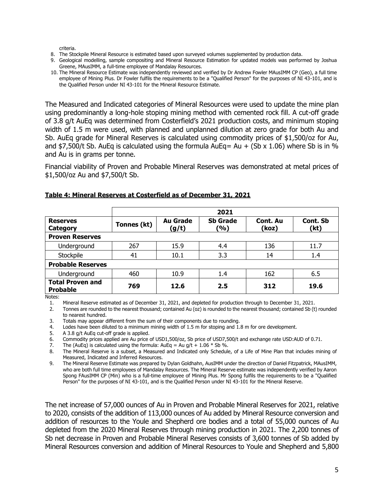criteria.

- 8. The Stockpile Mineral Resource is estimated based upon surveyed volumes supplemented by production data.
- 9. Geological modelling, sample compositing and Mineral Resource Estimation for updated models was performed by Joshua Greene, MAusIMM, a full-time employee of Mandalay Resources.
- 10. The Mineral Resource Estimate was independently reviewed and verified by Dr Andrew Fowler MAusIMM CP (Geo), a full time employee of Mining Plus. Dr Fowler fulfils the requirements to be a "Qualified Person" for the purposes of NI 43-101, and is the Qualified Person under NI 43-101 for the Mineral Resource Estimate.

The Measured and Indicated categories of Mineral Resources were used to update the mine plan using predominantly a long-hole stoping mining method with cemented rock fill. A cut-off grade of 3.8 g/t AuEq was determined from Costerfield's 2021 production costs, and minimum stoping width of 1.5 m were used, with planned and unplanned dilution at zero grade for both Au and Sb. AuEq grade for Mineral Reserves is calculated using commodity prices of \$1,500/oz for Au, and \$7,500/t Sb. AuEq is calculated using the formula AuEq= Au + (Sb  $\times$  1.06) where Sb is in % and Au is in grams per tonne.

Financial viability of Proven and Probable Mineral Reserves was demonstrated at metal prices of \$1,500/oz Au and \$7,500/t Sb.

|                                            |             |                          | 2021                   |                   |                  |
|--------------------------------------------|-------------|--------------------------|------------------------|-------------------|------------------|
| <b>Reserves</b><br>Category                | Tonnes (kt) | <b>Au Grade</b><br>(g/t) | <b>Sb Grade</b><br>(%) | Cont. Au<br>(koz) | Cont. Sb<br>(kt) |
| <b>Proven Reserves</b>                     |             |                          |                        |                   |                  |
| Underground                                | 267         | 15.9                     | 4.4                    | 136               | 11.7             |
| Stockpile                                  | 41          | 10.1                     | 3.3                    | 14                | 1.4              |
| <b>Probable Reserves</b>                   |             |                          |                        |                   |                  |
| Underground                                | 460         | 10.9                     | 1.4                    | 162               | 6.5              |
| <b>Total Proven and</b><br><b>Probable</b> | 769         | 12.6                     | 2.5                    | 312               | 19.6             |

#### **Table 4: Mineral Reserves at Costerfield as of December 31, 2021**

Notes:

1. Mineral Reserve estimated as of December 31, 2021, and depleted for production through to December 31, 2021.<br>2. Tonnes are rounded to the nearest thousand: contained Au (oz) is rounded to the nearest thousand: contained

2. Tonnes are rounded to the nearest thousand; contained Au (oz) is rounded to the nearest thousand; contained Sb (t) rounded to nearest hundred.

3. Totals may appear different from the sum of their components due to rounding.<br>4. Lodes have been diluted to a minimum mining width of 1.5 m for stoping and 1.

Lodes have been diluted to a minimum mining width of 1.5 m for stoping and 1.8 m for ore development.

5. A 3.8 g/t AuEq cut-off grade is applied.

6. Commodity prices applied are Au price of USD1,500/oz, Sb price of USD7,500/t and exchange rate USD:AUD of 0.71.

7. The (AuEq) is calculated using the formula:  $AuEq = Au g/t + 1.06 * Sb %$ .<br>8. The Mineral Reserve is a subset, a Measured and Indicated only Schedule

The Mineral Reserve is a subset, a Measured and Indicated only Schedule, of a Life of Mine Plan that includes mining of Measured, Indicated and Inferred Resources.

9. The Mineral Reserve Estimate was prepared by Dylan Goldhahn, AusIMM under the direction of Daniel Fitzpatrick, MAusIMM, who are both full time employees of Mandalay Resources. The Mineral Reserve estimate was independently verified by Aaron Spong FAusIMM CP (Min) who is a full-time employee of Mining Plus. Mr Spong fulfils the requirements to be a "Qualified Person" for the purposes of NI 43-101, and is the Qualified Person under NI 43-101 for the Mineral Reserve.

The net increase of 57,000 ounces of Au in Proven and Probable Mineral Reserves for 2021, relative to 2020, consists of the addition of 113,000 ounces of Au added by Mineral Resource conversion and addition of resources to the Youle and Shepherd ore bodies and a total of 55,000 ounces of Au depleted from the 2020 Mineral Reserves through mining production in 2021. The 2,200 tonnes of Sb net decrease in Proven and Probable Mineral Reserves consists of 3,600 tonnes of Sb added by Mineral Resources conversion and addition of Mineral Resources to Youle and Shepherd and 5,800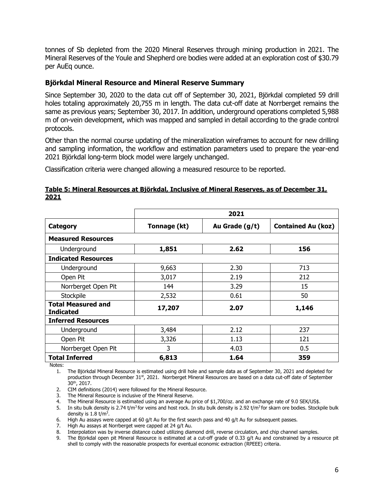tonnes of Sb depleted from the 2020 Mineral Reserves through mining production in 2021. The Mineral Reserves of the Youle and Shepherd ore bodies were added at an exploration cost of \$30.79 per AuEq ounce.

# **Björkdal Mineral Resource and Mineral Reserve Summary**

Since September 30, 2020 to the data cut off of September 30, 2021, Björkdal completed 59 drill holes totaling approximately 20,755 m in length. The data cut-off date at Norrberget remains the same as previous years; September 30, 2017. In addition, underground operations completed 5,988 m of on-vein development, which was mapped and sampled in detail according to the grade control protocols.

Other than the normal course updating of the mineralization wireframes to account for new drilling and sampling information, the workflow and estimation parameters used to prepare the year-end 2021 Björkdal long-term block model were largely unchanged.

Classification criteria were changed allowing a measured resource to be reported.

| Table 5: Mineral Resources at Björkdal, Inclusive of Mineral Reserves, as of December 31, |  |  |  |  |
|-------------------------------------------------------------------------------------------|--|--|--|--|
| 2021                                                                                      |  |  |  |  |

|                                               | 2021         |                |                           |  |  |  |  |  |
|-----------------------------------------------|--------------|----------------|---------------------------|--|--|--|--|--|
|                                               |              |                |                           |  |  |  |  |  |
| Category                                      | Tonnage (kt) | Au Grade (g/t) | <b>Contained Au (koz)</b> |  |  |  |  |  |
| <b>Measured Resources</b>                     |              |                |                           |  |  |  |  |  |
| Underground                                   | 1,851        | 2.62           | 156                       |  |  |  |  |  |
| <b>Indicated Resources</b>                    |              |                |                           |  |  |  |  |  |
| Underground                                   | 9,663        | 2.30           | 713                       |  |  |  |  |  |
| Open Pit                                      | 3,017        | 2.19           | 212                       |  |  |  |  |  |
| Norrberget Open Pit                           | 144          | 3.29           | 15                        |  |  |  |  |  |
| Stockpile                                     | 2,532        | 0.61           | 50                        |  |  |  |  |  |
| <b>Total Measured and</b><br><b>Indicated</b> | 17,207       | 2.07           | 1,146                     |  |  |  |  |  |
| <b>Inferred Resources</b>                     |              |                |                           |  |  |  |  |  |
| Underground                                   | 3,484        | 2.12           | 237                       |  |  |  |  |  |
| Open Pit                                      | 3,326        | 1.13           | 121                       |  |  |  |  |  |
| Norrberget Open Pit                           | 3            | 4.03           | 0.5                       |  |  |  |  |  |
| <b>Total Inferred</b>                         | 6,813        | 1.64           | 359                       |  |  |  |  |  |

Notes:

1. The Björkdal Mineral Resource is estimated using drill hole and sample data as of September 30, 2021 and depleted for production through December 31<sup>st</sup>, 2021. Norrberget Mineral Resources are based on a data cut-off date of September 30th, 2017.

2. CIM definitions (2014) were followed for the Mineral Resource.

3. The Mineral Resource is inclusive of the Mineral Reserve.

4. The Mineral Resource is estimated using an average Au price of \$1,700/oz. and an exchange rate of 9.0 SEK/US\$.

5. In situ bulk density is 2.74 t/m<sup>3</sup> for veins and host rock. In situ bulk density is 2.92 t/m<sup>3</sup> for skarn ore bodies. Stockpile bulk density is  $1.8 \text{ t/m}^3$ .

6. High Au assays were capped at 60  $q/t$  Au for the first search pass and 40  $q/t$  Au for subsequent passes.

7. High Au assays at Norrberget were capped at 24 g/t Au.

8. Interpolation was by inverse distance cubed utilizing diamond drill, reverse circulation, and chip channel samples.

9. The Björkdal open pit Mineral Resource is estimated at a cut-off grade of 0.33 g/t Au and constrained by a resource pit shell to comply with the reasonable prospects for eventual economic extraction (RPEEE) criteria.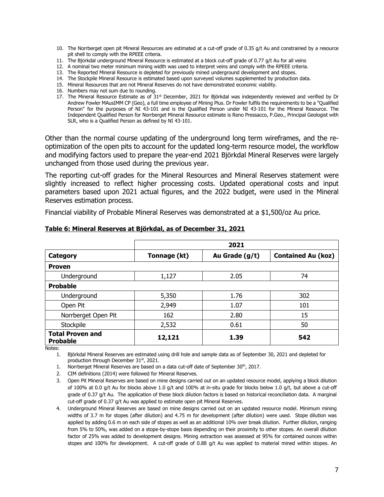- 10. The Norrberget open pit Mineral Resources are estimated at a cut-off grade of 0.35  $g/t$  Au and constrained by a resource pit shell to comply with the RPEEE criteria.
- 11. The Björkdal underground Mineral Resource is estimated at a block cut-off grade of 0.77 g/t Au for all veins
- 12. A nominal two meter minimum mining width was used to interpret veins and comply with the RPEEE criteria.
- 13. The Reported Mineral Resource is depleted for previously mined underground development and stopes.
- 14. The Stockpile Mineral Resource is estimated based upon surveyed volumes supplemented by production data.
- 15. Mineral Resources that are not Mineral Reserves do not have demonstrated economic viability.
- 16. Numbers may not sum due to rounding.
- 17. The Mineral Resource Estimate as of 31<sup>st</sup> December, 2021 for Björkdal was independently reviewed and verified by Dr Andrew Fowler MAusIMM CP (Geo), a full time employee of Mining Plus. Dr Fowler fulfils the requirements to be a "Qualified Person" for the purposes of NI 43-101 and is the Qualified Person under NI 43-101 for the Mineral Resource. The Independent Qualified Person for Norrberget Mineral Resource estimate is Reno Pressacco, P.Geo., Principal Geologist with SLR, who is a Qualified Person as defined by NI 43-101.

Other than the normal course updating of the underground long term wireframes, and the reoptimization of the open pits to account for the updated long-term resource model, the workflow and modifying factors used to prepare the year-end 2021 Björkdal Mineral Reserves were largely unchanged from those used during the previous year.

The reporting cut-off grades for the Mineral Resources and Mineral Reserves statement were slightly increased to reflect higher processing costs. Updated operational costs and input parameters based upon 2021 actual figures, and the 2022 budget, were used in the Mineral Reserves estimation process.

Financial viability of Probable Mineral Reserves was demonstrated at a \$1,500/oz Au price.

|                                            | 2021         |                |                           |  |  |  |  |
|--------------------------------------------|--------------|----------------|---------------------------|--|--|--|--|
| Category                                   | Tonnage (kt) | Au Grade (g/t) | <b>Contained Au (koz)</b> |  |  |  |  |
| <b>Proven</b>                              |              |                |                           |  |  |  |  |
| Underground                                | 1,127        | 2.05           | 74                        |  |  |  |  |
| <b>Probable</b>                            |              |                |                           |  |  |  |  |
| Underground                                | 5,350        | 1.76           | 302                       |  |  |  |  |
| Open Pit                                   | 2,949        | 1.07           | 101                       |  |  |  |  |
| Norrberget Open Pit                        | 162          | 2.80           | 15                        |  |  |  |  |
| Stockpile                                  | 2,532        | 0.61           | 50                        |  |  |  |  |
| <b>Total Proven and</b><br><b>Probable</b> | 12,121       | 1.39           | 542                       |  |  |  |  |

#### **Table 6: Mineral Reserves at Björkdal, as of December 31, 2021**

Notes:

1. Björkdal Mineral Reserves are estimated using drill hole and sample data as of September 30, 2021 and depleted for production through December 31<sup>st</sup>, 2021.

1. Norrberget Mineral Reserves are based on a data cut-off date of September  $30<sup>th</sup>$ , 2017.

2. CIM definitions (2014) were followed for Mineral Reserves.

3. Open Pit Mineral Reserves are based on mine designs carried out on an updated resource model, applying a block dilution of 100% at 0.0 g/t Au for blocks above 1.0 g/t and 100% at in-situ grade for blocks below 1.0 g/t, but above a cut-off grade of 0.37 g/t Au. The application of these block dilution factors is based on historical reconciliation data. A marginal cut-off grade of 0.37 g/t Au was applied to estimate open pit Mineral Reserves.

4. Underground Mineral Reserves are based on mine designs carried out on an updated resource model. Minimum mining widths of 3.7 m for stopes (after dilution) and 4.75 m for development (after dilution) were used. Stope dilution was applied by adding 0.6 m on each side of stopes as well as an additional 10% over break dilution. Further dilution, ranging from 5% to 50%, was added on a stope-by-stope basis depending on their proximity to other stopes. An overall dilution factor of 25% was added to development designs. Mining extraction was assessed at 95% for contained ounces within stopes and 100% for development. A cut-off grade of 0.88 g/t Au was applied to material mined within stopes. An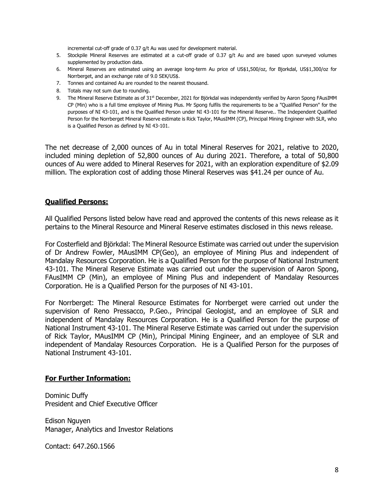incremental cut-off grade of 0.37 g/t Au was used for development material.

- 5. Stockpile Mineral Reserves are estimated at a cut-off grade of 0.37 g/t Au and are based upon surveyed volumes supplemented by production data.
- 6. Mineral Reserves are estimated using an average long-term Au price of US\$1,500/oz, for Bjorkdal, US\$1,300/oz for Norrberget, and an exchange rate of 9.0 SEK/US\$.
- 7. Tonnes and contained Au are rounded to the nearest thousand.
- 8. Totals may not sum due to rounding.
- 9. The Mineral Reserve Estimate as of 31 $st$  December, 2021 for Biörkdal was independently verified by Aaron Spong FAusIMM CP (Min) who is a full time employee of Mining Plus. Mr Spong fulfils the requirements to be a "Qualified Person" for the purposes of NI 43-101, and is the Qualified Person under NI 43-101 for the Mineral Reserve.. The Independent Qualified Person for the Norrberget Mineral Reserve estimate is Rick Taylor, MAusIMM (CP), Principal Mining Engineer with SLR, who is a Qualified Person as defined by NI 43-101.

The net decrease of 2,000 ounces of Au in total Mineral Reserves for 2021, relative to 2020, included mining depletion of 52,800 ounces of Au during 2021. Therefore, a total of 50,800 ounces of Au were added to Mineral Reserves for 2021, with an exploration expenditure of \$2.09 million. The exploration cost of adding those Mineral Reserves was \$41.24 per ounce of Au.

## **Qualified Persons:**

All Qualified Persons listed below have read and approved the contents of this news release as it pertains to the Mineral Resource and Mineral Reserve estimates disclosed in this news release.

For Costerfield and Björkdal: The Mineral Resource Estimate was carried out under the supervision of Dr Andrew Fowler, MAusIMM CP(Geo), an employee of Mining Plus and independent of Mandalay Resources Corporation. He is a Qualified Person for the purpose of National Instrument 43-101. The Mineral Reserve Estimate was carried out under the supervision of Aaron Spong, FAusIMM CP (Min), an employee of Mining Plus and independent of Mandalay Resources Corporation. He is a Qualified Person for the purposes of NI 43-101.

For Norrberget: The Mineral Resource Estimates for Norrberget were carried out under the supervision of Reno Pressacco, P.Geo., Principal Geologist, and an employee of SLR and independent of Mandalay Resources Corporation. He is a Qualified Person for the purpose of National Instrument 43-101. The Mineral Reserve Estimate was carried out under the supervision of Rick Taylor, MAusIMM CP (Min), Principal Mining Engineer, and an employee of SLR and independent of Mandalay Resources Corporation. He is a Qualified Person for the purposes of National Instrument 43-101.

#### **For Further Information:**

Dominic Duffy President and Chief Executive Officer

Edison Nguyen Manager, Analytics and Investor Relations

Contact: 647.260.1566